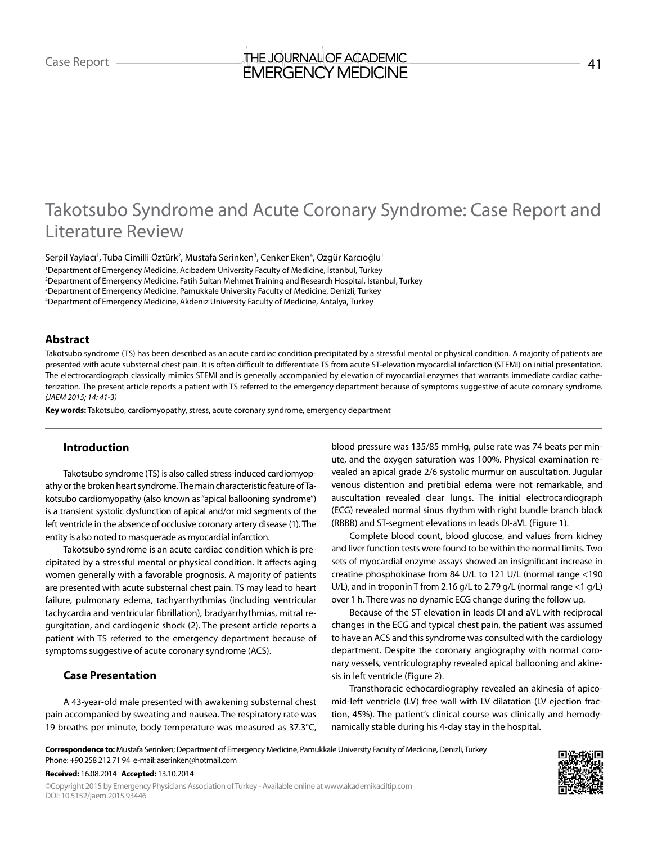# Case Report **Case Report** 41 EMERGENCY MEDICINE

# Takotsubo Syndrome and Acute Coronary Syndrome: Case Report and Literature Review

Serpil Yaylacı<sup>ı</sup>, Tuba Cimilli Öztürk<sup>2</sup>, Mustafa Serinken<sup>3</sup>, Cenker Eken<sup>4</sup>, Özgür Karcıoğlu<sup>ı</sup> Department of Emergency Medicine, Acıbadem University Faculty of Medicine, İstanbul, Turkey Department of Emergency Medicine, Fatih Sultan Mehmet Training and Research Hospital, İstanbul, Turkey Department of Emergency Medicine, Pamukkale University Faculty of Medicine, Denizli, Turkey Department of Emergency Medicine, Akdeniz University Faculty of Medicine, Antalya, Turkey

# **Abstract**

Takotsubo syndrome (TS) has been described as an acute cardiac condition precipitated by a stressful mental or physical condition. A majority of patients are presented with acute substernal chest pain. It is often difficult to differentiate TS from acute ST-elevation myocardial infarction (STEMI) on initial presentation. The electrocardiograph classically mimics STEMI and is generally accompanied by elevation of myocardial enzymes that warrants immediate cardiac catheterization. The present article reports a patient with TS referred to the emergency department because of symptoms suggestive of acute coronary syndrome. *(JAEM 2015; 14: 41-3)*

**Key words:** Takotsubo, cardiomyopathy, stress, acute coronary syndrome, emergency department

# **Introduction**

Takotsubo syndrome (TS) is also called stress-induced cardiomyopathy or the broken heart syndrome. The main characteristic feature of Takotsubo cardiomyopathy (also known as "apical ballooning syndrome") is a transient systolic dysfunction of apical and/or mid segments of the left ventricle in the absence of occlusive coronary artery disease (1). The entity is also noted to masquerade as myocardial infarction.

Takotsubo syndrome is an acute cardiac condition which is precipitated by a stressful mental or physical condition. It affects aging women generally with a favorable prognosis. A majority of patients are presented with acute substernal chest pain. TS may lead to heart failure, pulmonary edema, tachyarrhythmias (including ventricular tachycardia and ventricular fibrillation), bradyarrhythmias, mitral regurgitation, and cardiogenic shock (2). The present article reports a patient with TS referred to the emergency department because of symptoms suggestive of acute coronary syndrome (ACS).

# **Case Presentation**

A 43-year-old male presented with awakening substernal chest pain accompanied by sweating and nausea. The respiratory rate was 19 breaths per minute, body temperature was measured as 37.3°C, blood pressure was 135/85 mmHg, pulse rate was 74 beats per minute, and the oxygen saturation was 100%. Physical examination revealed an apical grade 2/6 systolic murmur on auscultation. Jugular venous distention and pretibial edema were not remarkable, and auscultation revealed clear lungs. The initial electrocardiograph (ECG) revealed normal sinus rhythm with right bundle branch block (RBBB) and ST-segment elevations in leads DI-aVL (Figure 1).

Complete blood count, blood glucose, and values from kidney and liver function tests were found to be within the normal limits. Two sets of myocardial enzyme assays showed an insignificant increase in creatine phosphokinase from 84 U/L to 121 U/L (normal range <190 U/L), and in troponin T from 2.16 g/L to 2.79 g/L (normal range <1 g/L) over 1 h. There was no dynamic ECG change during the follow up.

Because of the ST elevation in leads DI and aVL with reciprocal changes in the ECG and typical chest pain, the patient was assumed to have an ACS and this syndrome was consulted with the cardiology department. Despite the coronary angiography with normal coronary vessels, ventriculography revealed apical ballooning and akinesis in left ventricle (Figure 2).

Transthoracic echocardiography revealed an akinesia of apicomid-left ventricle (LV) free wall with LV dilatation (LV ejection fraction, 45%). The patient's clinical course was clinically and hemodynamically stable during his 4-day stay in the hospital.

**Received:** 16.08.2014 **Accepted:** 13.10.2014

©Copyright 2015 by Emergency Physicians Association of Turkey - Available online at www.akademikaciltip.com DOI: 10.5152/jaem.2015.93446



**Correspondence to:** Mustafa Serinken; Department of Emergency Medicine, Pamukkale University Faculty of Medicine, Denizli, Turkey Phone: +90 258 212 71 94 e-mail: aserinken@hotmail.com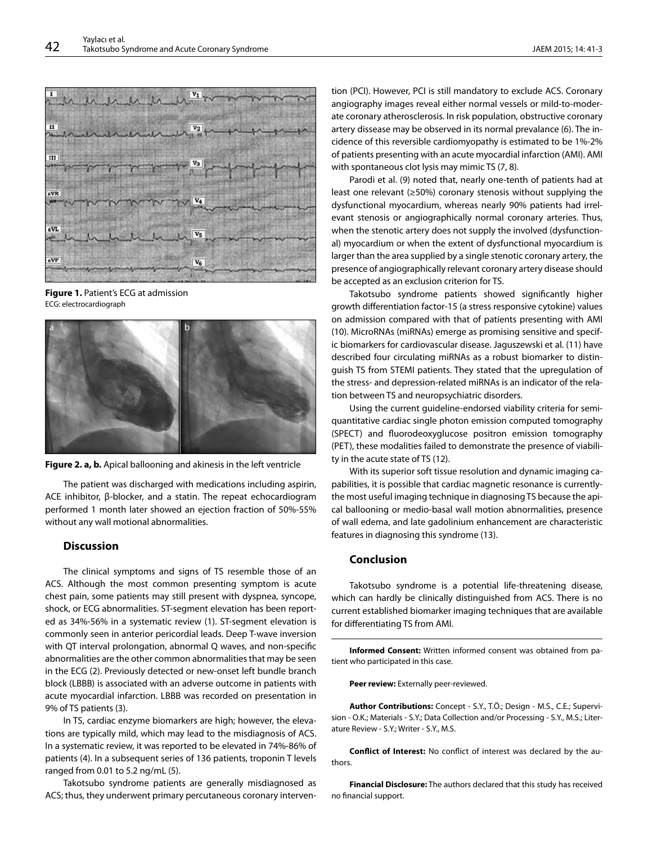

**Figure 1.** Patient's ECG at admission ECG: electrocardiograph





The patient was discharged with medications including aspirin, ACE inhibitor, β-blocker, and a statin. The repeat echocardiogram performed 1 month later showed an ejection fraction of 50%-55% without any wall motional abnormalities.

### **Discussion**

The clinical symptoms and signs of TS resemble those of an ACS. Although the most common presenting symptom is acute chest pain, some patients may still present with dyspnea, syncope, shock, or ECG abnormalities. ST-segment elevation has been reported as 34%-56% in a systematic review (1). ST-segment elevation is commonly seen in anterior pericordial leads. Deep T-wave inversion with QT interval prolongation, abnormal Q waves, and non-specific abnormalities are the other common abnormalities that may be seen in the ECG (2). Previously detected or new-onset left bundle branch block (LBBB) is associated with an adverse outcome in patients with acute myocardial infarction. LBBB was recorded on presentation in 9% of TS patients (3).

In TS, cardiac enzyme biomarkers are high; however, the elevations are typically mild, which may lead to the misdiagnosis of ACS. In a systematic review, it was reported to be elevated in 74%-86% of patients (4). In a subsequent series of 136 patients, troponin T levels ranged from 0.01 to 5.2 ng/mL (5).

Takotsubo syndrome patients are generally misdiagnosed as ACS; thus, they underwent primary percutaneous coronary intervention (PCI). However, PCI is still mandatory to exclude ACS. Coronary angiography images reveal either normal vessels or mild-to-moderate coronary atherosclerosis. In risk population, obstructive coronary artery dissease may be observed in its normal prevalance (6). The incidence of this reversible cardiomyopathy is estimated to be 1%-2% of patients presenting with an acute myocardial infarction (AMI). AMI with spontaneous clot lysis may mimic TS (7, 8).

Parodi et al. (9) noted that, nearly one-tenth of patients had at least one relevant (≥50%) coronary stenosis without supplying the dysfunctional myocardium, whereas nearly 90% patients had irrelevant stenosis or angiographically normal coronary arteries. Thus, when the stenotic artery does not supply the involved (dysfunctional) myocardium or when the extent of dysfunctional myocardium is larger than the area supplied by a single stenotic coronary artery, the presence of angiographically relevant coronary artery disease should be accepted as an exclusion criterion for TS.

Takotsubo syndrome patients showed significantly higher growth differentiation factor-15 (a stress responsive cytokine) values on admission compared with that of patients presenting with AMI (10). MicroRNAs (miRNAs) emerge as promising sensitive and specific biomarkers for cardiovascular disease. Jaguszewski et al. (11) have described four circulating miRNAs as a robust biomarker to distinguish TS from STEMI patients. They stated that the upregulation of the stress- and depression-related miRNAs is an indicator of the relation between TS and neuropsychiatric disorders.

Using the current guideline-endorsed viability criteria for semiquantitative cardiac single photon emission computed tomography (SPECT) and fluorodeoxyglucose positron emission tomography (PET), these modalities failed to demonstrate the presence of viability in the acute state of TS (12).

With its superior soft tissue resolution and dynamic imaging capabilities, it is possible that cardiac magnetic resonance is currentlythe most useful imaging technique in diagnosing TS because the apical ballooning or medio-basal wall motion abnormalities, presence of wall edema, and late gadolinium enhancement are characteristic features in diagnosing this syndrome (13).

### **Conclusion**

Takotsubo syndrome is a potential life-threatening disease, which can hardly be clinically distinguished from ACS. There is no current established biomarker imaging techniques that are available for differentiating TS from AMI.

**Informed Consent:** Written informed consent was obtained from patient who participated in this case.

**Peer review:** Externally peer-reviewed.

**Author Contributions:** Concept - S.Y., T.Ö.; Design - M.S., C.E.; Supervision - O.K.; Materials - S.Y.; Data Collection and/or Processing - S.Y., M.S.; Literature Review - S.Y.; Writer - S.Y., M.S.

**Conflict of Interest:** No conflict of interest was declared by the authors.

**Financial Disclosure:** The authors declared that this study has received no financial support.